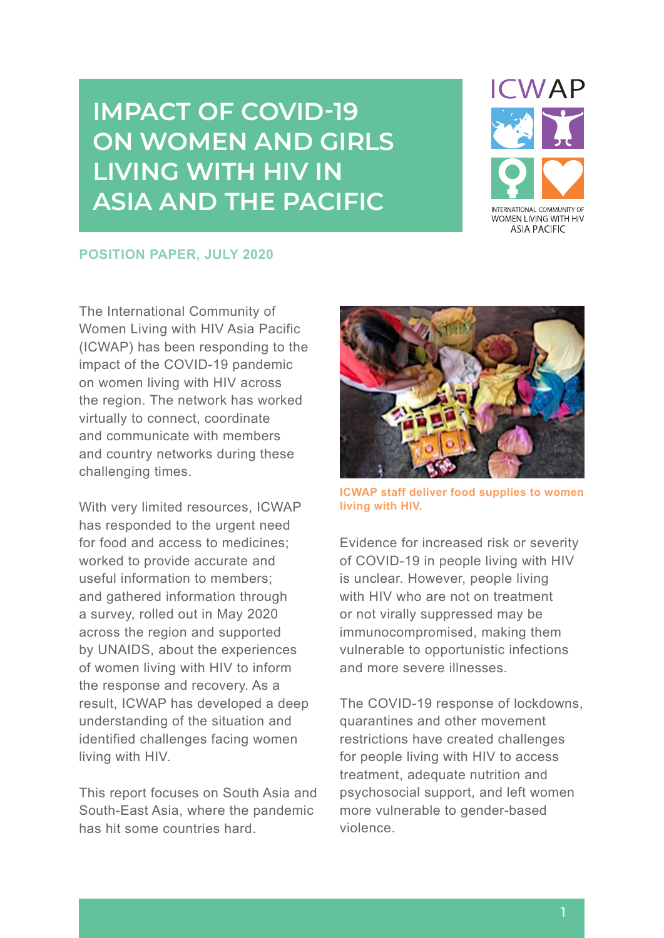# **IMPACT OF COVID-19 ON WOMEN AND GIRLS LIVING WITH HIV IN ASIA AND THE PACIFIC**



#### **POSITION PAPER, JULY 2020**

The International Community of Women Living with HIV Asia Pacific (ICWAP) has been responding to the impact of the COVID-19 pandemic on women living with HIV across the region. The network has worked virtually to connect, coordinate and communicate with members and country networks during these challenging times.

With very limited resources, ICWAP has responded to the urgent need for food and access to medicines; worked to provide accurate and useful information to members; and gathered information through a survey, rolled out in May 2020 across the region and supported by UNAIDS, about the experiences of women living with HIV to inform the response and recovery. As a result, ICWAP has developed a deep understanding of the situation and identified challenges facing women living with HIV.

This report focuses on South Asia and South-East Asia, where the pandemic has hit some countries hard.



**ICWAP staff deliver food supplies to women living with HIV.**

Evidence for increased risk or severity of COVID-19 in people living with HIV is unclear. However, people living with HIV who are not on treatment or not virally suppressed may be immunocompromised, making them vulnerable to opportunistic infections and more severe illnesses.

The COVID-19 response of lockdowns, quarantines and other movement restrictions have created challenges for people living with HIV to access treatment, adequate nutrition and psychosocial support, and left women more vulnerable to gender-based violence.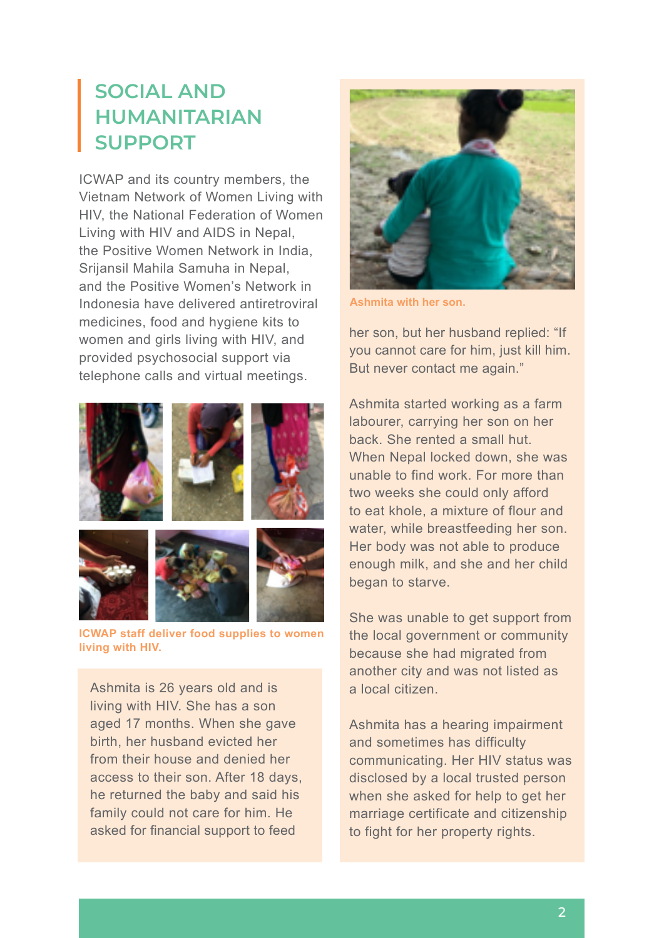#### **SOCIAL AND HUMANITARIAN SUPPORT**

ICWAP and its country members, the Vietnam Network of Women Living with HIV, the National Federation of Women Living with HIV and AIDS in Nepal, the Positive Women Network in India, Srijansil Mahila Samuha in Nepal, and the Positive Women's Network in Indonesia have delivered antiretroviral medicines, food and hygiene kits to women and girls living with HIV, and provided psychosocial support via telephone calls and virtual meetings.



**ICWAP staff deliver food supplies to women living with HIV.**

Ashmita is 26 years old and is living with HIV. She has a son aged 17 months. When she gave birth, her husband evicted her from their house and denied her access to their son. After 18 days, he returned the baby and said his family could not care for him. He asked for financial support to feed



**Ashmita with her son.**

her son, but her husband replied: "If you cannot care for him, just kill him. But never contact me again."

Ashmita started working as a farm labourer, carrying her son on her back. She rented a small hut. When Nepal locked down, she was unable to find work. For more than two weeks she could only afford to eat khole, a mixture of flour and water, while breastfeeding her son. Her body was not able to produce enough milk, and she and her child began to starve.

She was unable to get support from the local government or community because she had migrated from another city and was not listed as a local citizen.

Ashmita has a hearing impairment and sometimes has difficulty communicating. Her HIV status was disclosed by a local trusted person when she asked for help to get her marriage certificate and citizenship to fight for her property rights.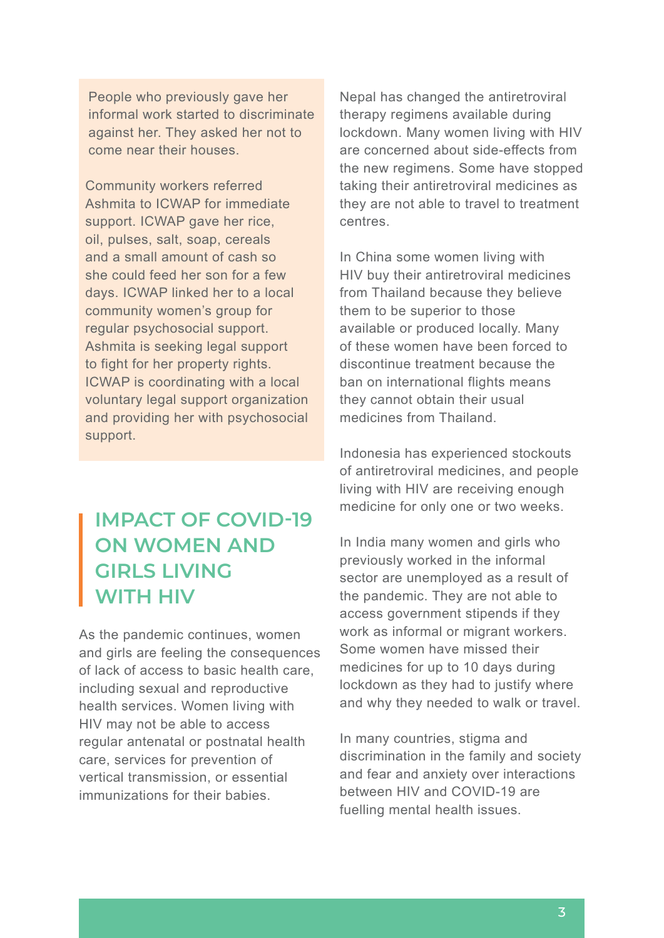People who previously gave her informal work started to discriminate against her. They asked her not to come near their houses.

Community workers referred Ashmita to ICWAP for immediate support. ICWAP gave her rice, oil, pulses, salt, soap, cereals and a small amount of cash so she could feed her son for a few days. ICWAP linked her to a local community women's group for regular psychosocial support. Ashmita is seeking legal support to fight for her property rights. ICWAP is coordinating with a local voluntary legal support organization and providing her with psychosocial support.

### **IMPACT OF COVID-19 ON WOMEN AND GIRLS LIVING WITH HIV**

As the pandemic continues, women and girls are feeling the consequences of lack of access to basic health care, including sexual and reproductive health services. Women living with HIV may not be able to access regular antenatal or postnatal health care, services for prevention of vertical transmission, or essential immunizations for their babies.

Nepal has changed the antiretroviral therapy regimens available during lockdown. Many women living with HIV are concerned about side-effects from the new regimens. Some have stopped taking their antiretroviral medicines as they are not able to travel to treatment centres.

In China some women living with HIV buy their antiretroviral medicines from Thailand because they believe them to be superior to those available or produced locally. Many of these women have been forced to discontinue treatment because the ban on international flights means they cannot obtain their usual medicines from Thailand.

Indonesia has experienced stockouts of antiretroviral medicines, and people living with HIV are receiving enough medicine for only one or two weeks.

In India many women and girls who previously worked in the informal sector are unemployed as a result of the pandemic. They are not able to access government stipends if they work as informal or migrant workers. Some women have missed their medicines for up to 10 days during lockdown as they had to justify where and why they needed to walk or travel.

In many countries, stigma and discrimination in the family and society and fear and anxiety over interactions between HIV and COVID-19 are fuelling mental health issues.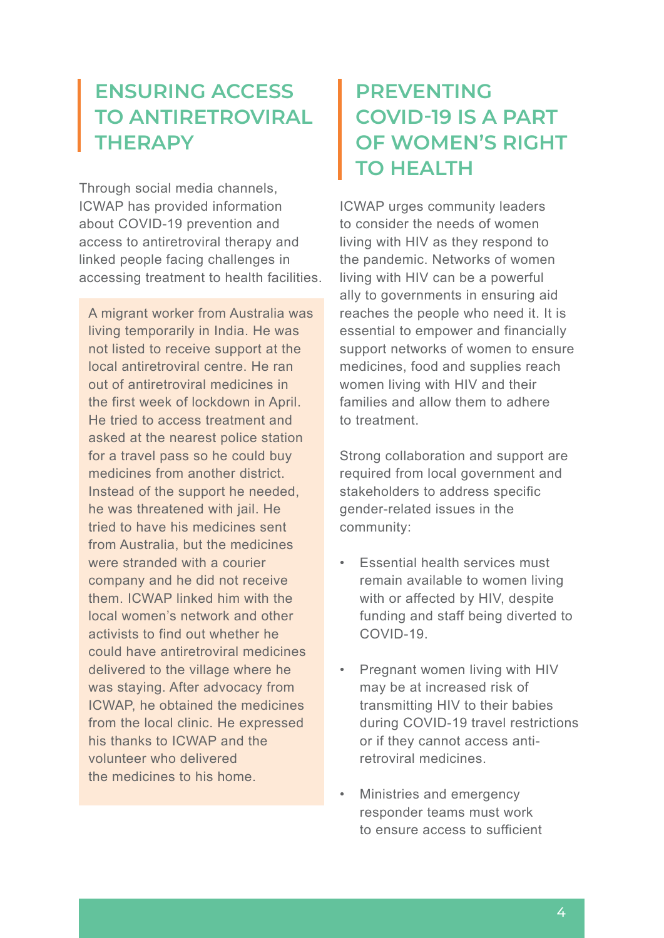#### **ENSURING ACCESS TO ANTIRETROVIRAL THERAPY**

Through social media channels, ICWAP has provided information about COVID-19 prevention and access to antiretroviral therapy and linked people facing challenges in accessing treatment to health facilities.

A migrant worker from Australia was living temporarily in India. He was not listed to receive support at the local antiretroviral centre. He ran out of antiretroviral medicines in the first week of lockdown in April. He tried to access treatment and asked at the nearest police station for a travel pass so he could buy medicines from another district. Instead of the support he needed, he was threatened with jail. He tried to have his medicines sent from Australia, but the medicines were stranded with a courier company and he did not receive them. ICWAP linked him with the local women's network and other activists to find out whether he could have antiretroviral medicines delivered to the village where he was staying. After advocacy from ICWAP, he obtained the medicines from the local clinic. He expressed his thanks to ICWAP and the volunteer who delivered the medicines to his home.

## **PREVENTING COVID-19 IS A PART OF WOMEN'S RIGHT TO HEALTH**

ICWAP urges community leaders to consider the needs of women living with HIV as they respond to the pandemic. Networks of women living with HIV can be a powerful ally to governments in ensuring aid reaches the people who need it. It is essential to empower and financially support networks of women to ensure medicines, food and supplies reach women living with HIV and their families and allow them to adhere to treatment.

Strong collaboration and support are required from local government and stakeholders to address specific gender-related issues in the community:

- Essential health services must remain available to women living with or affected by HIV, despite funding and staff being diverted to COVID-19.
- Pregnant women living with HIV may be at increased risk of transmitting HIV to their babies during COVID-19 travel restrictions or if they cannot access antiretroviral medicines.
- Ministries and emergency responder teams must work to ensure access to sufficient